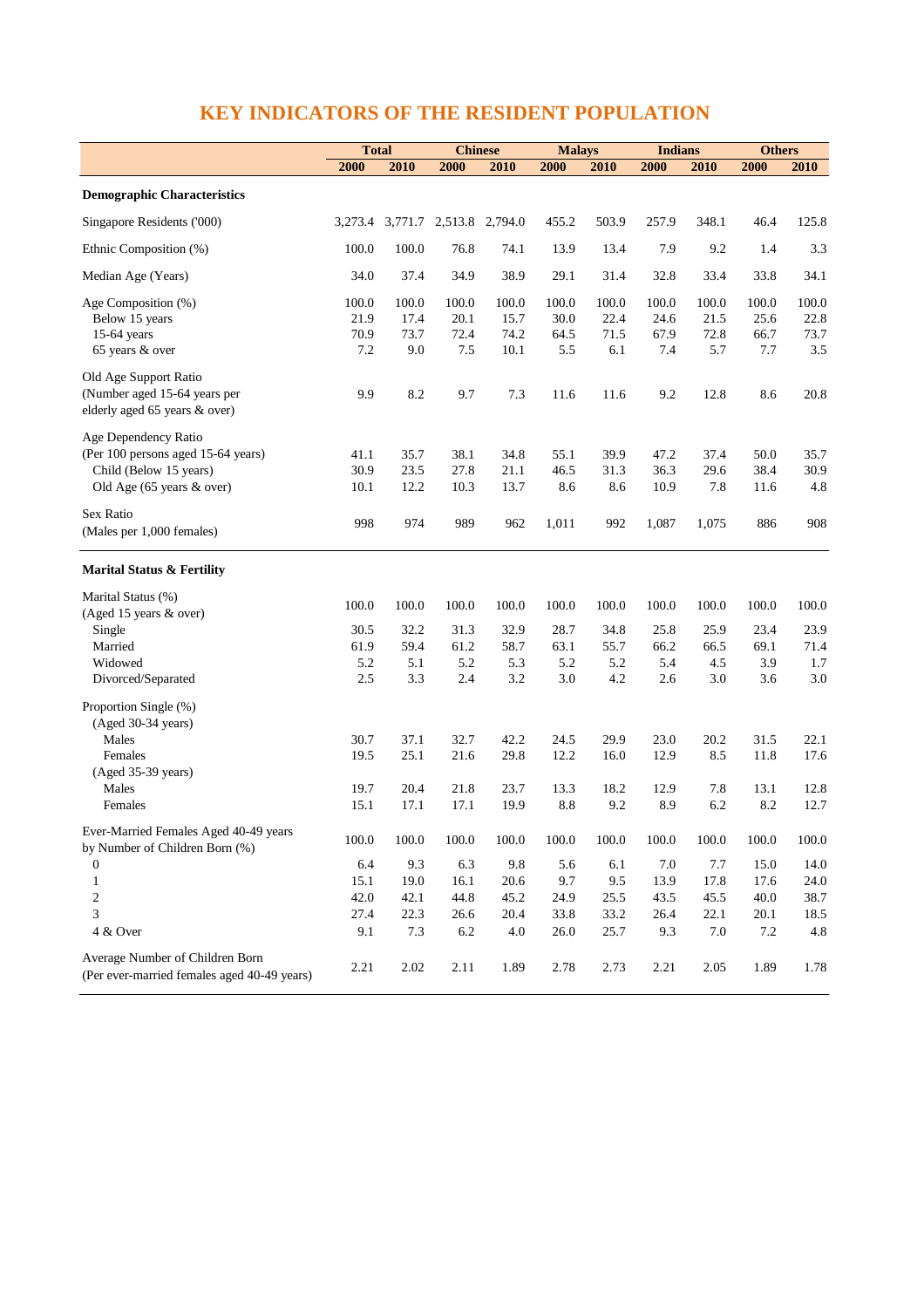## **KEY INDICATORS OF THE RESIDENT POPULATION**

|                                                                                | <b>Total</b> |                                 | <b>Chinese</b> |         | <b>Malays</b> |       | <b>Indians</b> |         | <b>Others</b> |           |
|--------------------------------------------------------------------------------|--------------|---------------------------------|----------------|---------|---------------|-------|----------------|---------|---------------|-----------|
|                                                                                | 2000         | 2010                            | 2000           | 2010    | 2000          | 2010  | 2000           | 2010    | 2000          | 2010      |
| <b>Demographic Characteristics</b>                                             |              |                                 |                |         |               |       |                |         |               |           |
| Singapore Residents ('000)                                                     |              | 3,273.4 3,771.7 2,513.8 2,794.0 |                |         | 455.2         | 503.9 | 257.9          | 348.1   | 46.4          | 125.8     |
| Ethnic Composition (%)                                                         | 100.0        | 100.0                           | 76.8           | 74.1    | 13.9          | 13.4  | 7.9            | 9.2     | 1.4           | 3.3       |
| Median Age (Years)                                                             | 34.0         | 37.4                            | 34.9           | 38.9    | 29.1          | 31.4  | 32.8           | 33.4    | 33.8          | 34.1      |
| Age Composition (%)                                                            | 100.0        | 100.0                           | 100.0          | 100.0   | 100.0         | 100.0 | 100.0          | 100.0   | 100.0         | 100.0     |
| Below 15 years                                                                 | 21.9         | 17.4                            | 20.1           | 15.7    | 30.0          | 22.4  | 24.6           | 21.5    | 25.6          | 22.8      |
| 15-64 years                                                                    | 70.9         | 73.7                            | 72.4           | 74.2    | 64.5          | 71.5  | 67.9           | 72.8    | 66.7          | 73.7      |
| 65 years & over                                                                | 7.2          | 9.0                             | 7.5            | 10.1    | 5.5           | 6.1   | 7.4            | 5.7     | 7.7           | 3.5       |
| Old Age Support Ratio                                                          |              |                                 |                |         |               |       |                |         |               |           |
| (Number aged 15-64 years per                                                   | 9.9          | 8.2                             | 9.7            | 7.3     | 11.6          | 11.6  | 9.2            | 12.8    | 8.6           | 20.8      |
| elderly aged 65 years & over)                                                  |              |                                 |                |         |               |       |                |         |               |           |
| Age Dependency Ratio                                                           |              |                                 |                |         |               |       |                |         |               |           |
| (Per 100 persons aged 15-64 years)                                             | 41.1         | 35.7                            | 38.1           | 34.8    | 55.1          | 39.9  | 47.2           | 37.4    | 50.0          | 35.7      |
| Child (Below 15 years)                                                         | 30.9         | 23.5                            | 27.8           | 21.1    | 46.5          | 31.3  | 36.3           | 29.6    | 38.4          | 30.9      |
| Old Age (65 years & over)                                                      | 10.1         | 12.2                            | 10.3           | 13.7    | 8.6           | 8.6   | 10.9           | 7.8     | 11.6          | 4.8       |
| Sex Ratio                                                                      |              |                                 |                |         |               |       |                |         |               |           |
| (Males per 1,000 females)                                                      | 998          | 974                             | 989            | 962     | 1,011         | 992   | 1,087          | 1,075   | 886           | 908       |
|                                                                                |              |                                 |                |         |               |       |                |         |               |           |
| <b>Marital Status &amp; Fertility</b>                                          |              |                                 |                |         |               |       |                |         |               |           |
| Marital Status (%)                                                             | 100.0        | 100.0                           | 100.0          | 100.0   | 100.0         | 100.0 | 100.0          | 100.0   | 100.0         | 100.0     |
| (Aged 15 years & over)                                                         |              |                                 |                |         |               |       |                |         |               |           |
| Single                                                                         | 30.5         | 32.2                            | 31.3           | 32.9    | 28.7          | 34.8  | 25.8           | 25.9    | 23.4          | 23.9      |
| Married                                                                        | 61.9         | 59.4                            | 61.2           | 58.7    | 63.1          | 55.7  | 66.2           | 66.5    | 69.1          | 71.4      |
| Widowed                                                                        | 5.2          | 5.1                             | 5.2            | 5.3     | 5.2           | 5.2   | 5.4            | 4.5     | 3.9           | 1.7       |
| Divorced/Separated                                                             | 2.5          | 3.3                             | 2.4            | 3.2     | 3.0           | 4.2   | 2.6            | 3.0     | 3.6           | 3.0       |
| Proportion Single (%)                                                          |              |                                 |                |         |               |       |                |         |               |           |
| (Aged 30-34 years)                                                             |              |                                 |                |         |               |       |                |         |               |           |
| Males                                                                          | 30.7         | 37.1                            | 32.7           | 42.2    | 24.5          | 29.9  | 23.0           | 20.2    | 31.5          | 22.1      |
| Females                                                                        | 19.5         | 25.1                            | 21.6           | 29.8    | 12.2          | 16.0  | 12.9           | 8.5     | 11.8          | 17.6      |
| (Aged 35-39 years)                                                             |              |                                 |                |         |               |       |                |         |               |           |
| Males                                                                          | 19.7         | 20.4                            | 21.8           | 23.7    | 13.3          | 18.2  | 12.9           | 7.8     | 13.1          | $12.8\,$  |
| Females                                                                        | 15.1         | 17.1                            | 17.1           | 19.9    | 8.8           | 9.2   | 8.9            | $6.2\,$ | 8.2           | 12.7      |
| Ever-Married Females Aged 40-49 years                                          |              |                                 |                |         |               |       |                |         |               |           |
| by Number of Children Born (%)                                                 | 100.0        | 100.0                           | 100.0          | 100.0   | 100.0         | 100.0 | 100.0          | 100.0   | 100.0         | $100.0\,$ |
| $\boldsymbol{0}$                                                               | 6.4          | 9.3                             | 6.3            | 9.8     | 5.6           | 6.1   | 7.0            | 7.7     | 15.0          | 14.0      |
| $\mathbf{1}$                                                                   | 15.1         | 19.0                            | 16.1           | 20.6    | 9.7           | 9.5   | 13.9           | 17.8    | 17.6          | 24.0      |
| $\overline{c}$                                                                 | 42.0         | 42.1                            | 44.8           | 45.2    | 24.9          | 25.5  | 43.5           | 45.5    | 40.0          | 38.7      |
| 3                                                                              | 27.4         | 22.3                            | 26.6           | 20.4    | 33.8          | 33.2  | 26.4           | 22.1    | 20.1          | 18.5      |
| 4 & Over                                                                       | 9.1          | 7.3                             | 6.2            | $4.0\,$ | 26.0          | 25.7  | 9.3            | $7.0\,$ | 7.2           | $4.8\,$   |
|                                                                                |              |                                 |                |         |               |       |                |         |               |           |
| Average Number of Children Born<br>(Per ever-married females aged 40-49 years) | 2.21         | 2.02                            | 2.11           | 1.89    | 2.78          | 2.73  | 2.21           | 2.05    | 1.89          | 1.78      |